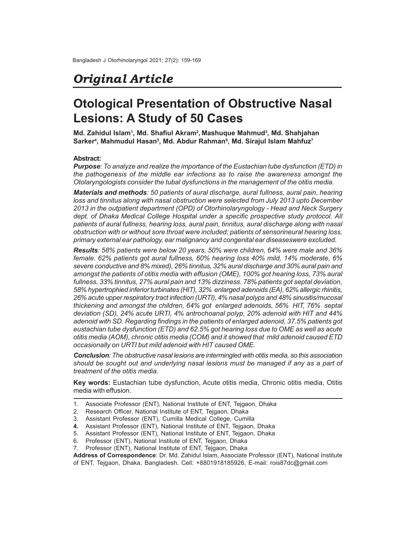## *Original Article*

# **Otological Presentation of Obstructive Nasal Lesions: A Study of 50 Cases**

**Md. Zahidul Islam<sup>1</sup> , Md. Shafiul Akram<sup>2</sup> , Mashuque Mahmud<sup>3</sup> , Md. Shahjahan Sarker<sup>4</sup> , Mahmudul Hasan<sup>5</sup> , Md. Abdur Rahman<sup>6</sup> , Md. Sirajul Islam Mahfuz<sup>7</sup>**

#### **Abstract:**

*Purpose: To analyze and realize the importance of the Eustachian tube dysfunction (ETD) in the pathogenesis of the middle ear infections as to raise the awareness amongst the Otolaryngologists consider the tubal dysfunctions in the management of the otitis media.*

*Materials and methods: 50 patients of aural discharge, aural fullness, aural pain, hearing loss and tinnitus along with nasal obstruction were selected from July 2013 upto December 2013 in the outpatient department (OPD) of Otorhinolaryngology - Head and Neck Surgery dept. of Dhaka Medical College Hospital under a specific prospective study protocol. All patients of aural fullness, hearing loss, aural pain, tinnitus, aural discharge along with nasal obstruction with or without sore throat were included; patients of sensorineural hearing loss, primary external ear pathology, ear malignancy and congenital ear diseaseswere excluded.*

*Results: 58% patients were below 20 years, 50% were children, 64% were male and 36% female. 62% patients got aural fullness, 60% hearing loss 40% mild, 14% moderate, 6% severe conductive and 8% mixed), 26% tinnitus, 32% aural discharge and 30% aural pain and amongst the patients of otitis media with effusion (OME), 100% got hearing loss, 73% aural fullness, 33% tinnitus, 27% aural pain and 13% dizziness. 78% patients got septal deviation, 58% hypertrophied inferior turbinates (HIT), 32% enlarged adenoids (EA), 62% allergic rhinitis, 26% acute upper respiratory tract infection (URTI), 4% nasal polyps and 48% sinusitis/mucosal thickening and amongst the children, 64% got enlarged adenoids, 56% HIT, 76% septal deviation (SD), 24% acute URTI, 4% antrochoanal polyp, 20% adenoid with HIT and 44% adenoid with SD. Regarding findings in the patients of enlarged adenoid, 37.5% patients got eustachian tube dysfunction (ETD) and 62.5% got hearing loss due to OME as well as acute otitis media (AOM), chronic otitis media (COM) and it showed that mild adenoid caused ETD occasionally on URTI but mild adenoid with HIT caused OME.*

*Conclusion: The obstructive nasal lesions are intermingled with otitis media, so this association should be sought out and underlying nasal lesions must be managed if any as a part of treatment of the otitis media.*

**Key words:** Eustachian tube dysfunction, Acute otitis media, Chronic otitis media, Otitis media with effusion.

- 1. Associate Professor (ENT), National Institute of ENT, Tejgaon, Dhaka
- 2. Research Officer, National Institute of ENT, Tejgaon, Dhaka
- 3. Assistant Professor (ENT), Cumilla Medical College, Cumilla
- **4.** Assistant Professor (ENT), National Institute of ENT, Tejgaon, Dhaka
- 5. Assistant Professor (ENT), National Institute of ENT, Tejgaon, Dhaka
- 6. Professor (ENT), National Institute of ENT, Tejgaon, Dhaka
- 7. Professor (ENT), National Institute of ENT, Tejgaon, Dhaka

**Address of Correspondence**: Dr. Md. Zahidul Islam, Associate Professor (ENT), National Institute of ENT, Tejgaon, Dhaka, Bangladesh. Cell: +8801918185926, E-mail: rois87dc@gmail.com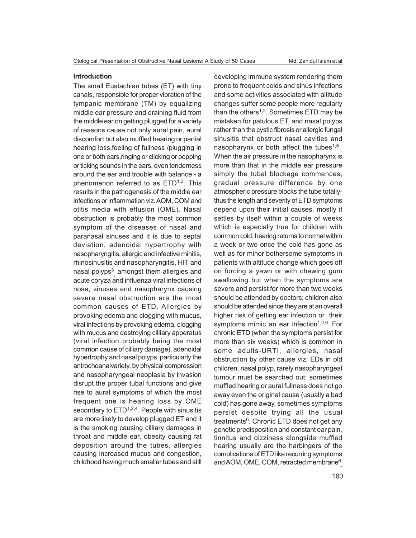#### **Introduction**

The small Eustachian tubes (ET) with tiny canals, responsible for proper vibration of the tympanic membrane (TM) by equalizing middle ear pressure and draining fluid from the middle ear,on getting plugged for a variety of reasons cause not only aural pain, aural discomfort but also muffled hearing or partial hearing loss,feeling of fullness /plugging in one or both ears,ringing or clicking or popping or ticking sounds in the ears, even tenderness around the ear and trouble with balance - a phenomenon referred to as  $ETD^{1,2}$ . This results in the pathogenesis of the middle ear infections or inflammation viz. AOM, COM and otitis media with effusion (OME). Nasal obstruction is probably the most common symptom of the diseases of nasal and paranasal sinuses and it is due to septal deviation, adenoidal hypertrophy with nasopharyngitis, allergic and infective rhinitis, rhinosinusitis and nasopharyngitis, HIT and nasal polyps $^3_{\mathcal{E}_\parallel}$  amongst them allergies and acute coryza and influenza viral infections of nose, sinuses and nasopharynx causing severe nasal obstruction are the most common causes of ETD. Allergies by provoking edema and clogging with mucus, viral infections by provoking edema, clogging with mucus and destroying cilliary apperatus (viral infection probably being the most common cause of cilliary damage), adenoidal hypertrophy and nasal polyps, particularly the antrochoanalvariety, by physical compression and nasopharyngeal neoplasia by invasion disrupt the proper tubal functions and give rise to aural symptoms of which the most frequent one is hearing loss by OME secondary to  $ETD^{1,2,4}$ . People with sinusitis are more likely to develop plugged ET and it is the smoking causing cilliary damages in throat and middle ear, obesity causing fat deposition around the tubes, allergies causing increased mucus and congestion, childhood having much smaller tubes and still

developing immune system rendering them prone to frequent colds and sinus infections and some activities associated with altitude changes suffer some people more regularly than the others<sup>1,2</sup>. Sometimes ETD may be mistaken for patulous ET, and nasal polyps rather than the cystic fibrosis or allergic fungal sinusitis that obstruct nasal cavities and nasopharynx or both affect the tubes<sup>1,5</sup>. When the air pressure in the nasopharynx is more than that in the middle ear pressure simply the tubal blockage commences, gradual pressure difference by one atmospheric pressure blocks the tube totallythus the length and severity of ETD symptoms depend upon their initial causes, mostly it settles by itself within a couple of weeks which is especially true for children with common cold, hearing returns to normal within a week or two once the cold has gone as well as for minor bothersome symptoms in patients with altitude change which goes off on forcing a yawn or with chewing gum swallowing but when the symptoms are severe and persist for more than two weeks should be attended by doctors; children also should be attended since they are at an overall higher risk of getting ear infection or their symptoms mimic an ear infection<sup>1,2,6</sup>. For chronic ETD (when the symptoms persist for more than six weeks) which is common in some adults-URTI, allergies, nasal obstruction by other cause viz. EDs in old children, nasal polyp, rarely nasopharyngeal tumour must be searched out; sometimes muffled hearing or aural fullness does not go away even the original cause (usually a bad cold) has gone away, sometimes symptoms persist despite trying all the usual treatments<sup>6</sup>. Chronic ETD does not get any genetic predisposition and constant ear pain, tinnitus and dizziness alongside muffled hearing usually are the harbingers of the complications of ETD like recurring symptoms and AOM, OME, COM, retracted membrane $^6$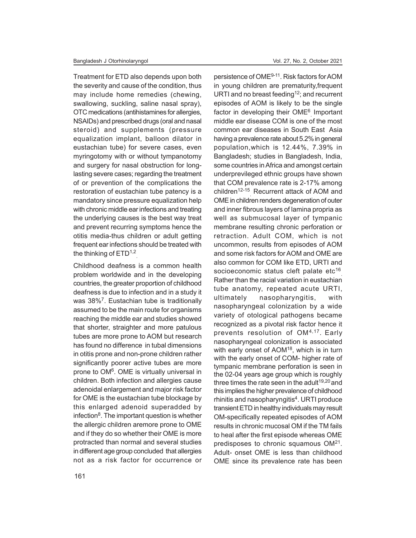Treatment for ETD also depends upon both the severity and cause of the condition, thus may include home remedies (chewing, swallowing, suckling, saline nasal spray), OTC medications (antihistamines for allergies, NSAIDs) and prescribed drugs (oral and nasal steroid) and supplements (pressure equalization implant, balloon dilator in eustachian tube) for severe cases, even myringotomy with or without tympanotomy and surgery for nasal obstruction for longlasting severe cases; regarding the treatment of or prevention of the complications the restoration of eustachian tube patency is a mandatory since pressure equalization help with chronic middle ear infections and treating the underlying causes is the best way treat and prevent recurring symptoms hence the otitis media-thus children or adult getting frequent ear infections should be treated with the thinking of  $\mathsf{ETD}^{1,2}$ 

Childhood deafness is a common health problem worldwide and in the developing countries, the greater proportion of childhood deafness is due to infection and in a study it was 38%<sup>7</sup>. Eustachian tube is traditionally assumed to be the main route for organisms reaching the middle ear and studies showed that shorter, straighter and more patulous tubes are more prone to AOM but research has found no difference in tubal dimensions in otitis prone and non-prone children rather significantly poorer active tubes are more prone to OM<sup>6</sup>. OME is virtually universal in children. Both infection and allergies cause adenoidal enlargement and major risk factor for OME is the eustachian tube blockage by this enlarged adenoid superadded by infection<sup>8</sup>. The important question is whether the allergic children aremore prone to OME and if they do so whether their OME is more protracted than normal and several studies in different age group concluded that allergies not as a risk factor for occurrence or

persistence of OME<sup>9-11</sup>. Risk factors for AOM in young children are prematurity,frequent URTI and no breast feeding<sup>12</sup>; and recurrent episodes of AOM is likely to be the single factor in developing their OME<sup>6</sup> Important middle ear disease COM is one of the most common ear diseases in South East Asia having a prevalence rate about 5.2% in general population,which is 12.44%, 7.39% in Bangladesh; studies in Bangladesh, India, some countries in Africa and amongst certain underprevileged ethnic groups have shown that COM prevalence rate is 2-17% among children<sup>12-15</sup> Recurrent attack of AOM and OME in children renders degeneration of outer and inner fibrous layers of lamina propria as well as submucosal layer of tympanic membrane resulting chronic perforation or retraction. Adult COM, which is not uncommon, results from episodes of AOM and some risk factors for AOM and OME are also common for COM like ETD, URTI and socioeconomic status cleft palate etc $^{16}$ Rather than the racial variation in eustachian tube anatomy, repeated acute URTI, ultimately nasopharyngitis, with nasopharyngeal colonization by a wide variety of otological pathogens became recognized as a pivotal risk factor hence it prevents resolution of OM4,17 . Early nasopharyngeal colonization is associated with early onset of AOM<sup>18</sup>, which is in turn with the early onset of COM- higher rate of tympanic membrane perforation is seen in the 02-04 years age group which is roughly three times the rate seen in the adult<sup>19,20</sup> and this implies the higher prevalence of childhood rhinitis and nasopharyngitis<sup>4</sup>. URTI produce transient ETD in healthy individuals may result OM-specifically repeated episodes of AOM results in chronic mucosal OM if the TM fails to heal after the first episode whereas OME predisposes to chronic squamous  $OM<sup>21</sup>$ . Adult- onset OME is less than childhood OME since its prevalence rate has been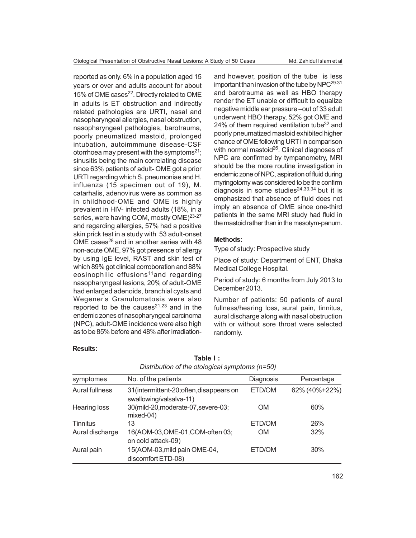reported as only. 6% in a population aged 15 years or over and adults account for about 15% of OME cases<sup>22</sup>. Directly related to OME in adults is ET obstruction and indirectly related pathologies are URTI, nasal and nasopharyngeal allergies, nasal obstruction, nasopharyngeal pathologies, barotrauma, poorly pneumatized mastoid, prolonged intubation, autoimmmune disease-CSF otorrhoea may present with the symptoms $21$ ; sinusitis being the main correlating disease since 63% patients of adult- OME got a prior URTI regarding which S. pneumoniae and H. influenza (15 specimen out of 19), M. catarhalis, adenovirus were as common as in childhood-OME and OME is highly prevalent in HIV- infected adults (18%, in a series, were having COM, mostly OME)<sup>23-27</sup> and regarding allergies, 57% had a positive skin prick test in a study with 53 adult-onset OME cases $^{28}$  and in another series with 48 non-acute OME, 97% got presence of allergy by using IgE level, RAST and skin test of which 89% got clinical corroboration and 88% eosinophilic effusions<sup>11</sup>and regarding nasopharyngeal lesions, 20% of adult-OME had enlarged adenoids, branchial cysts and Wegener's Granulomatosis were also reported to be the causes $21,23$  and in the endemic zones of nasopharyngeal carcinoma (NPC), adult-OME incidence were also high as to be 85% before and 48% after irradiationand however, position of the tube is less important than invasion of the tube by  $NPC^{29-31}$ and barotrauma as well as HBO therapy render the ET unable or difficult to equalize negative middle ear pressure –out of 33 adult underwent HBO therapy, 52% got OME and 24% of them required ventilation tube $32$  and poorly pneumatized mastoid exhibited higher chance of OME following URTI in comparison with normal mastoid<sup>26</sup>. Clinical diagnoses of NPC are confirmed by tympanometry, MRI should be the more routine investigation in endemic zone of NPC, aspiration of fluid during myringotomy was considered to be the confirm diagnosis in some studies $24,33,34$  but it is emphasized that absence of fluid does not imply an absence of OME since one-third patients in the same MRI study had fluid in the mastoid rather than in the mesotym-panum.

## **Methods:**

Type of study: Prospective study

Place of study: Department of ENT, Dhaka Medical College Hospital.

Period of study: 6 months from July 2013 to December 2013.

Number of patients: 50 patients of aural fullness/hearing loss, aural pain, tinnitus, aural discharge along with nasal obstruction with or without sore throat were selected randomly.

## **Results:**

| Distribution of the otological symptoms (n=50) | Table F: |
|------------------------------------------------|----------|
|                                                |          |

**Table I :**

| symptomes             | No. of the patients                                                | Diagnosis | Percentage    |
|-----------------------|--------------------------------------------------------------------|-----------|---------------|
| <b>Aural fullness</b> | 31(intermittent-20;often, disappears on<br>swallowing/valsalva-11) | ETD/OM    | 62% (40%+22%) |
| Hearing loss          | 30(mild-20, moderate-07, severe-03;<br>mixed-04)                   | <b>OM</b> | 60%           |
| Tinnitus              | 13                                                                 | ETD/OM    | 26%           |
| Aural discharge       | 16(AOM-03,OME-01,COM-often 03;<br>on cold attack-09)               | <b>OM</b> | 32%           |
| Aural pain            | 15(AOM-03, mild pain OME-04,<br>discomfort ETD-08)                 | ETD/OM    | 30%           |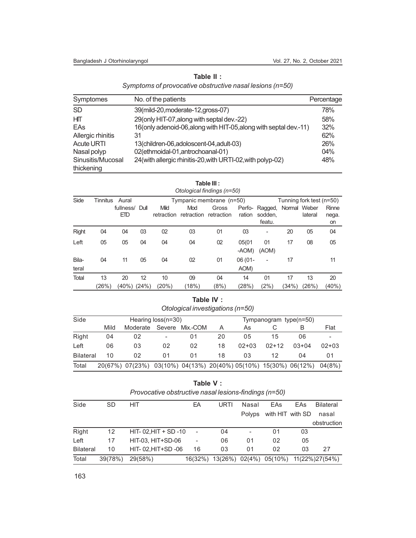| Table II :                                   |  |
|----------------------------------------------|--|
| pro of provocative obstructive nasal lesions |  |

| Symptomes                       | No. of the patients                                               | Percentage |
|---------------------------------|-------------------------------------------------------------------|------------|
| <b>SD</b>                       | 39(mild-20, moderate-12, gross-07)                                | 78%        |
| HП                              | 29(only HIT-07, along with septal dev.-22)                        | 58%        |
| EAs                             | 16(only adenoid-06, along with HIT-05, along with septal dev.-11) | 32%        |
| Allergic rhinitis               | 31                                                                | 62%        |
| <b>Acute URTI</b>               | 13(children-06,adoloscent-04,adult-03)                            | 26%        |
| Nasal polyp                     | 02(ethmoidal-01, antrochoanal-01)                                 | 04%        |
| Sinusitis/Mucosal<br>thickening | 24(with allergic rhinitis-20, with URTI-02, with polyp-02)        | 48%        |

|                | Table III :<br>Otological findings (n=50) |                       |    |                    |                              |                          |                   |                              |              |                          |                      |
|----------------|-------------------------------------------|-----------------------|----|--------------------|------------------------------|--------------------------|-------------------|------------------------------|--------------|--------------------------|----------------------|
| Side           | Tinnitus                                  | Aural                 |    |                    |                              | Tympanic membrane (n=50) |                   |                              |              | Tunning fork test (n=50) |                      |
|                |                                           | fullness/ Dull<br>ETD |    | Mild<br>retraction | Mod<br>retraction retraction | Gross                    | Perfo-<br>ration  | Ragged,<br>sodden.<br>featu. | Normal Weber | lateral                  | Rinne<br>nega.<br>on |
| <b>Right</b>   | 04                                        | 04                    | 03 | 02                 | 03                           | 01                       | 03                |                              | 20           | 05                       | 04                   |
| Left           | 05                                        | 05                    | 04 | 04                 | 04                           | 02                       | 05(01<br>-AOM)    | 01<br>(AOM)                  | 17           | 08                       | 05                   |
| Bila-<br>teral | 04                                        | 11                    | 05 | 04                 | 02                           | 01                       | $06(01 -$<br>AOM) | $\overline{\phantom{a}}$     | 17           |                          | 11                   |
| <b>Total</b>   | 13                                        | 20                    | 12 | 10                 | 09                           | 04                       | 14                | 01                           | 17           | 13                       | 20                   |
|                | (26%)                                     | (40%) (24%)           |    | (20%)              | (18%)                        | (8%)                     | (28%)             | (2%)                         | (34%)        | (26%)                    | $(40\%)$             |

| Table IV :                       |  |
|----------------------------------|--|
| Otological investigations (n=50) |  |

| Side             | Hearing loss(n=30) |                 |        |                                                    |    | Tympanogram type(n=50) |         |         |         |
|------------------|--------------------|-----------------|--------|----------------------------------------------------|----|------------------------|---------|---------|---------|
|                  | Mild               | Moderate        | Severe | Mix.-COM                                           | A  | As                     |         | В       | Flat    |
| Right            | 04                 | 02              | -      | 01                                                 | 20 | 05                     | 15      | 06      | -       |
| Left             | 06                 | 03              | 02     | 02                                                 | 18 | $02+03$                | $02+12$ | $03+04$ | $02+03$ |
| <b>Bilateral</b> | 10                 | 02              | 01     | 01                                                 | 18 | 03                     | 12      | 04      | 01      |
| Total            |                    | 20(67%) 07(23%) |        | $03(10\%)$ 04(13%) 20(40%) 05(10%) 15(30%) 06(12%) |    |                        |         |         | 04(8%)  |

**Table V :** *Provocative obstructive nasal lesions-findings (n=50)*

| Side             | <b>SD</b> | <b>HIT</b>          | EΑ      | URTI           | Nasal  | EAs              | EAs | <b>Bilateral</b> |
|------------------|-----------|---------------------|---------|----------------|--------|------------------|-----|------------------|
|                  |           |                     |         |                | Polyps | with HIT with SD |     | nasal            |
|                  |           |                     |         |                |        |                  |     | obstruction      |
| Right            | 12        | HIT-02, HIT + SD-10 |         | 04             |        | 01               | 03  |                  |
| Left             | 17        | HIT-03. HIT+SD-06   | -       | 06             | 01     | 02               | 05  |                  |
| <b>Bilateral</b> | 10        | HIT-02, HIT+SD-06   | 16      | 03             | 01     | 02               | 03  | 27               |
| Total            | 39(78%)   | 29(58%)             | 16(32%) | 13(26%) 02(4%) |        | 05(10%)          |     | 11(22%)27(54%)   |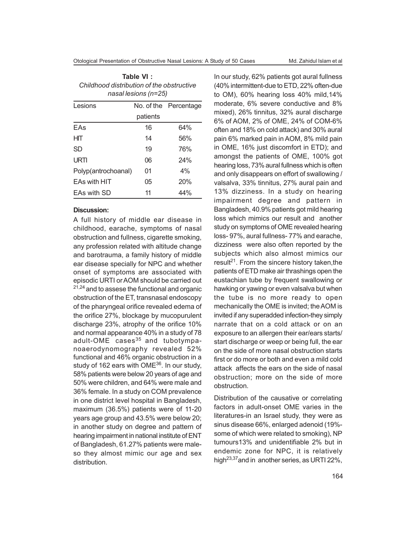| Table VI:                                 |
|-------------------------------------------|
| Childhood distribution of the obstructive |
| $nasal lesions (n=25)$                    |

| Lesions             |          | No. of the Percentage |  |
|---------------------|----------|-----------------------|--|
|                     | patients |                       |  |
| EAs                 | 16       | 64%                   |  |
| HIТ                 | 14       | 56%                   |  |
| SD                  | 19       | 76%                   |  |
| URTI                | 06       | 24%                   |  |
| Polyp(antrochoanal) | 01       | 4%                    |  |
| <b>EAs with HIT</b> | 05       | 20%                   |  |
| EAs with SD         | 11       | 44%                   |  |

#### **Discussion:**

A full history of middle ear disease in childhood, earache, symptoms of nasal obstruction and fullness, cigarette smoking, any profession related with altitude change and barotrauma, a family history of middle ear disease specially for NPC and whether onset of symptoms are associated with episodic URTI or AOM should be carried out <sup>21,24</sup> and to assese the functional and organic obstruction of the ET, transnasal endoscopy of the pharyngeal orifice revealed edema of the orifice 27%, blockage by mucopurulent discharge 23%, atrophy of the orifice 10% and normal appearance 40% in a study of 78 adult-OME cases<sup>35</sup> and tubotympanoaerodynomography revealed 52% functional and 46% organic obstruction in a study of 162 ears with OME<sup>36</sup>. In our study, 58% patients were below 20 years of age and 50% were children, and 64% were male and 36% female. In a study on COM prevalence in one district level hospital in Bangladesh, maximum (36.5%) patients were of 11-20 years age group and 43.5% were below 20; in another study on degree and pattern of hearing impairment in national institute of ENT of Bangladesh, 61.27% patients were maleso they almost mimic our age and sex distribution.

In our study, 62% patients got aural fullness (40% intermittent-due to ETD, 22% often-due to OM), 60% hearing loss 40% mild,14% moderate, 6% severe conductive and 8% mixed), 26% tinnitus, 32% aural discharge 6% of AOM, 2% of OME, 24% of COM-6% often and 18% on cold attack) and 30% aural pain 6% marked pain in AOM, 8% mild pain in OME, 16% just discomfort in ETD); and amongst the patients of OME, 100% got hearing loss, 73% aural fullness which is often and only disappears on effort of swallowing / valsalva, 33% tinnitus, 27% aural pain and 13% dizziness. In a study on hearing impairment degree and pattern in Bangladesh, 40.9% patients got mild hearing loss which mimics our result and another study on symptoms of OME revealed hearing loss- 97%, aural fullness- 77% and earache, dizziness were also often reported by the subjects which also almost mimics our result<sup>21</sup>. From the sincere history taken, the patients of ETD make air thrashings open the eustachian tube by frequent swallowing or hawking or yawing or even valsalva but when the tube is no more ready to open mechanically the OME is invited; the AOM is invited if any superadded infection-they simply narrate that on a cold attack or on an exposure to an allergen their ear/ears starts/ start discharge or weep or being full, the ear on the side of more nasal obstruction starts first or do more or both and even a mild cold attack affects the ears on the side of nasal obstruction; more on the side of more obstruction.

Distribution of the causative or correlating factors in adult-onset OME varies in the literatures-in an Israel study, they were as sinus disease 66%, enlarged adenoid (19% some of which were related to smoking), NP tumours13% and unidentifiable 2% but in endemic zone for NPC, it is relatively high23,37and in another series, as URTI 22%,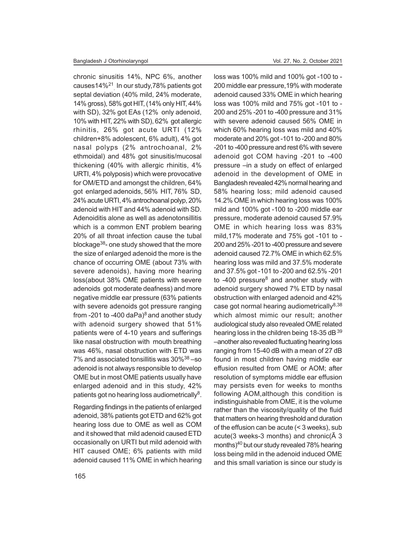chronic sinusitis 14%, NPC 6%, another causes14%<sup>21</sup> In our study,78% patients got septal deviation (40% mild, 24% moderate, 14% gross), 58% got HIT, (14% only HIT, 44% with SD), 32% got EAs (12% only adenoid, 10% with HIT, 22% with SD), 62% got allergic rhinitis, 26% got acute URTI (12% children+8% adolescent, 6% adult), 4% got nasal polyps (2% antrochoanal, 2% ethmoidal) and 48% got sinusitis/mucosal thickening (40% with allergic rhinitis, 4% URTI, 4% polyposis) which were provocative for OM/ETD and amongst the children, 64% got enlarged adenoids, 56% HIT, 76% SD, 24% acute URTI, 4% antrochoanal polyp, 20% adenoid with HIT and 44% adenoid with SD. Adenoiditis alone as well as adenotonsillitis which is a common ENT problem bearing 20% of all throat infection cause the tubal blockage<sup>38</sup>- one study showed that the more the size of enlarged adenoid the more is the chance of occurring OME (about 73% with severe adenoids), having more hearing loss(about 38% OME patients with severe adenoids got moderate deafness) and more negative middle ear pressure (63% patients with severe adenoids got pressure ranging from -201 to -400 daPa $)^8$  and another study with adenoid surgery showed that 51% patients were of 4-10 years and sufferings like nasal obstruction with mouth breathing was 46%, nasal obstruction with ETD was 7% and associated tonsillitis was 30%<sup>38</sup> –so adenoid is not always responsible to develop OME but in most OME patients usually have enlarged adenoid and in this study, 42% patients got no hearing loss audiometrically<sup>8</sup>.

Regarding findings in the patients of enlarged adenoid, 38% patients got ETD and 62% got hearing loss due to OME as well as COM and it showed that mild adenoid caused ETD occasionally on URTI but mild adenoid with HIT caused OME; 6% patients with mild adenoid caused 11% OME in which hearing loss was 100% mild and 100% got -100 to - 200 middle ear pressure,19% with moderate adenoid caused 33% OME in which hearing loss was 100% mild and 75% got -101 to - 200 and 25% -201 to -400 pressure and 31% with severe adenoid caused 56% OME in which 60% hearing loss was mild and 40% moderate and 20% got -101 to -200 and 80% -201 to -400 pressure and rest 6% with severe adenoid got COM having -201 to -400 pressure –in a study on effect of enlarged adenoid in the development of OME in Bangladesh revealed 42% normal hearing and 58% hearing loss; mild adenoid caused 14.2% OME in which hearing loss was 100% mild and 100% got -100 to -200 middle ear pressure, moderate adenoid caused 57.9% OME in which hearing loss was 83% mild,17% moderate and 75% got -101 to - 200 and 25% -201 to -400 pressure and severe adenoid caused 72.7% OME in which 62.5% hearing loss was mild and 37.5% moderate and 37.5% got -101 to -200 and 62.5% -201 to -400 pressure<sup>8</sup> and another study with adenoid surgery showed 7% ETD by nasal obstruction with enlarged adenoid and 42% case got normal hearing audiometrically $8,38$ which almost mimic our result; another audiological study also revealed OME related hearing loss in the children being 18-35 dB 39 –another also revealed fluctuating hearing loss ranging from 15-40 dB with a mean of 27 dB found in most children having middle ear effusion resulted from OME or AOM; after resolution of symptoms middle ear effusion may persists even for weeks to months following AOM,although this condition is indistinguishable from OME, it is the volume rather than the viscosity/quality of the fluid that matters on hearing threshold and duration of the effusion can be acute (< 3 weeks), sub acute(3 weeks-3 months) and chronic(Ã 3 months)<sup>40</sup> but our study revealed 78% hearing loss being mild in the adenoid induced OME and this small variation is since our study is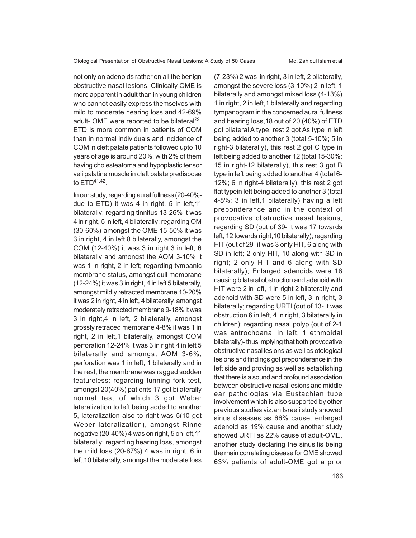not only on adenoids rather on all the benign obstructive nasal lesions. Clinically OME is more apparent in adult than in young children who cannot easily express themselves with mild to moderate hearing loss and 42-69% adult- OME were reported to be bilateral<sup>29</sup>. ETD is more common in patients of COM than in normal individuals and incidence of COM in cleft palate patients followed upto 10 years of age is around 20%, with 2% of them having cholesteatoma and hypoplastic tensor veli palatine muscle in cleft palate predispose to ETD41,42 .

In our study, regarding aural fullness (20-40% due to ETD) it was 4 in right, 5 in left,11 bilaterally; regarding tinnitus 13-26% it was 4 in right, 5 in left, 4 bilaterally; regarding OM (30-60%)-amongst the OME 15-50% it was 3 in right, 4 in left,8 bilaterally, amongst the COM (12-40%) it was 3 in right,3 in left, 6 bilaterally and amongst the AOM 3-10% it was 1 in right, 2 in left; regarding tympanic membrane status, amongst dull membrane (12-24%) it was 3 in right, 4 in left 5 bilaterally, amongst mildly retracted membrane 10-20% it was 2 in right, 4 in left, 4 bilaterally, amongst moderately retracted membrane 9-18% it was 3 in right,4 in left, 2 bilaterally, amongst grossly retraced membrane 4-8% it was 1 in right, 2 in left,1 bilaterally, amongst COM perforation 12-24% it was 3 in right,4 in left 5 bilaterally and amongst AOM 3-6%, perforation was 1 in left, 1 bilaterally and in the rest, the membrane was ragged sodden featureless; regarding tunning fork test, amongst 20(40%) patients 17 got bilaterally normal test of which 3 got Weber lateralization to left being added to another 5, lateralization also to right was 5(10 got Weber lateralization), amongst Rinne negative (20-40%) 4 was on right, 5 on left,11 bilaterally; regarding hearing loss, amongst the mild loss (20-67%) 4 was in right, 6 in left,10 bilaterally, amongst the moderate loss

(7-23%) 2 was in right, 3 in left, 2 bilaterally, amongst the severe loss (3-10%) 2 in left, 1 bilaterally and amongst mixed loss (4-13%) 1 in right, 2 in left,1 bilaterally and regarding tympanogram in the concerned aural fullness and hearing loss,18 out of 20 (40%) of ETD got bilateral A type, rest 2 got As type in left being added to another 3 (total 5-10%; 5 in right-3 bilaterally), this rest 2 got C type in left being added to another 12 (total 15-30%; 15 in right-12 bilaterally), this rest 3 got B type in left being added to another 4 (total 6- 12%; 6 in right-4 bilaterally), this rest 2 got flat typein left being added to another 3 (total 4-8%; 3 in left,1 bilaterally) having a left preponderance and in the context of provocative obstructive nasal lesions, regarding SD (out of 39- it was 17 towards left, 12 towards right,10 bilaterally); regarding HIT (out of 29- it was 3 only HIT, 6 along with SD in left; 2 only HIT, 10 along with SD in right; 2 only HIT and 6 along with SD bilaterally); Enlarged adenoids were 16 causing bilateral obstruction and adenoid with HIT were 2 in left, 1 in right 2 bilaterally and adenoid with SD were 5 in left, 3 in right, 3 bilaterally; regarding URTI (out of 13- it was obstruction 6 in left, 4 in right, 3 bilaterally in children); regarding nasal polyp (out of 2-1 was antrochoanal in left, 1 ethmoidal bilaterally)- thus implying that both provocative obstructive nasal lesions as well as otological lesions and findings got preponderance in the left side and proving as well as establishing that there is a sound and profound association between obstructive nasal lesions and middle ear pathologies via Eustachian tube involvement which is also supported by other previous studies viz.an Israeli study showed sinus diseases as 66% cause, enlarged adenoid as 19% cause and another study showed URTI as 22% cause of adult-OME, another study declaring the sinusitis being the main correlating disease for OME showed 63% patients of adult-OME got a prior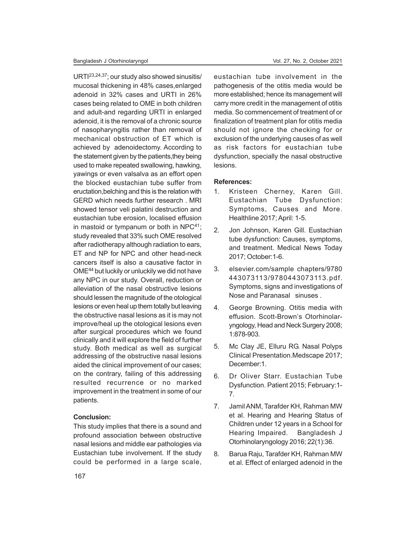URTI23,24,37; our study also showed sinusitis/ mucosal thickening in 48% cases,enlarged adenoid in 32% cases and URTI in 26% cases being related to OME in both children and adult-and regarding URTI in enlarged adenoid, it is the removal of a chronic source of nasopharyngitis rather than removal of mechanical obstruction of ET which is achieved by adenoidectomy. According to the statement given by the patients,they being used to make repeated swallowing, hawking, yawings or even valsalva as an effort open the blocked eustachian tube suffer from eructation,belching and this is the relation with GERD which needs further research . MRI showed tensor veli palatini destruction and eustachian tube erosion, localised effusion in mastoid or tympanum or both in NPC<sup>41</sup>; study revealed that 33% such OME resolved after radiotherapy although radiation to ears, ET and NP for NPC and other head-neck cancers itself is also a causative factor in OME<sup>44</sup> but luckily or unluckily we did not have any NPC in our study. Overall, reduction or alleviation of the nasal obstructive lesions should lessen the magnitude of the otological lesions or even heal up them totally but leaving the obstructive nasal lesions as it is may not improve/heal up the otological lesions even after surgical procedures which we found clinically and it will explore the field of further study. Both medical as well as surgical addressing of the obstructive nasal lesions aided the clinical improvement of our cases; on the contrary, failing of this addressing resulted recurrence or no marked improvement in the treatment in some of our patients.

## **Conclusion:**

This study implies that there is a sound and profound association between obstructive nasal lesions and middle ear pathologies via Eustachian tube involvement. If the study could be performed in a large scale, eustachian tube involvement in the pathogenesis of the otitis media would be more established; hence its management will carry more credit in the management of otitis media. So commencement of treatment of or finalization of treatment plan for otitis media should not ignore the checking for or exclusion of the underlying causes of as well as risk factors for eustachian tube dysfunction, specially the nasal obstructive lesions.

#### **References:**

- 1. Kristeen Cherney, Karen Gill. Eustachian Tube Dysfunction: Symptoms, Causes and More. Healthline 2017; April: 1-5.
- 2. Jon Johnson, Karen Gill. Eustachian tube dysfunction: Causes, symptoms, and treatment. Medical News Today 2017; October:1-6.
- 3. elsevier.com/sample chapters/9780 443073113/9780443073113.pdf. Symptoms, signs and investigations of Nose and Paranasal sinuses .
- 4. George Browning. Otitis media with effusion. Scott-Brown's Otorhinolaryngology, Head and Neck Surgery 2008; 1:878-903.
- 5. Mc Clay JE, Elluru RG. Nasal Polyps Clinical Presentation.Medscape 2017; December:1
- 6. Dr Oliver Starr. Eustachian Tube Dysfunction. Patient 2015; February:1- 7.
- 7. Jamil ANM, Tarafder KH, Rahman MW et al. Hearing and Hearing Status of Children under 12 years in a School for Hearing Impaired. Bangladesh J Otorhinolaryngology 2016; 22(1):36.
- 8. Barua Raju, Tarafder KH, Rahman MW et al. Effect of enlarged adenoid in the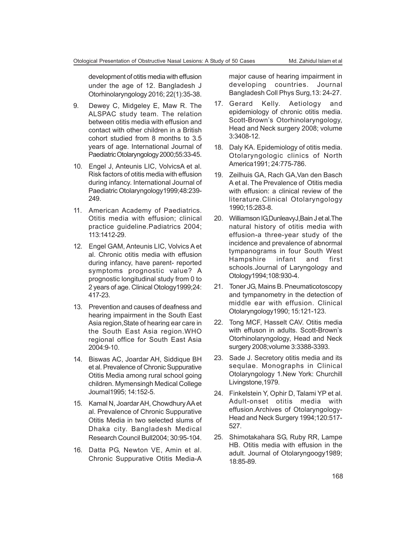development of otitis media with effusion under the age of 12. Bangladesh J Otorhinolaryngology 2016; 22(1):35-38.

- 9. Dewey C, Midgeley E, Maw R. The ALSPAC study team. The relation between otitis media with effusion and contact with other children in a British cohort studied from 8 months to 3.5 years of age. International Journal of Paediatric Otolaryngology 2000;55:33-45.
- 10. Engel J, Anteunis LIC, VolvicsA et al. Risk factors of otitis media with effusion during infancy. International Journal of Paediatric Otolaryngology1999;48:239- 249.
- 11. American Academy of Paediatrics. Otitis media with effusion; clinical practice guideline.Padiatrics 2004; 113:1412-29.
- 12. Engel GAM, Anteunis LIC, Volvics A et al. Chronic otitis media with effusion during infancy, have parent- reported symptoms prognostic value? A prognostic longitudinal study from 0 to 2 years of age. Clinical Otology1999;24: 417-23.
- 13. Prevention and causes of deafness and hearing impairment in the South East Asia region,State of hearing ear care in the South East Asia region.WHO regional office for South East Asia 2004:9-10.
- 14. Biswas AC, Joardar AH, Siddique BH et al. Prevalence of Chronic Suppurative Otitis Media among rural school going children. Mymensingh Medical College Journal1995; 14:152-5.
- 15. Kamal N, Joardar AH, Chowdhury AA et al. Prevalence of Chronic Suppurative Otitis Media in two selected slums of Dhaka city. Bangladesh Medical Research Council Bull2004; 30:95-104.
- 16. Datta PG, Newton VE, Amin et al. Chronic Suppurative Otitis Media-A

major cause of hearing impairment in developing countries. Journal Bangladesh Coll Phys Surg,13: 24-27.

- 17. Gerard Kelly. Aetiology and epidemiology of chronic otitis media. Scott-Brown's Otorhinolaryngology, Head and Neck surgery 2008; volume 3:3408-12.
- 18. Daly KA. Epidemiology of otitis media. Otolaryngologic clinics of North America1991; 24:775-786.
- 19. Zeilhuis GA, Rach GA,Van den Basch A et al. The Prevalence of Otitis media with effusion: a clinical review of the literature.Clinical Otolaryngology 1990;15:283-8.
- 20. Williamson IG,DunleavyJ,Bain J et al.The natural history of otitis media with effusion-a three-year study of the incidence and prevalence of abnormal tympanograms in four South West Hampshire infant and first schools.Journal of Laryngology and Otology1994;108:930-4.
- 21. Toner JG, Mains B. Pneumaticotoscopy and tympanometry in the detection of middle ear with effusion. Clinical Otolaryngology1990; 15:121-123.
- 22. Tong MCF, Hasselt CAV. Otitis media with effuson in adults. Scott-Brown's Otorhinolaryngology, Head and Neck surgery 2008;volume 3:3388-3393.
- 23. Sade J. Secretory otitis media and its sequlae. Monographs in Clinical Otolaryngology 1.New York: Churchill Livingstone,1979.
- 24. Finkelstein Y, Ophir D, Talami YP et al. Adult-onset otitis media with effusion.Archives of Otolaryngology-Head and Neck Surgery 1994;120:517- 527.
- 25. Shimotakahara SG, Ruby RR, Lampe HB. Otitis media with effusion in the adult. Journal of Otolaryngoogy1989; 18:85-89.